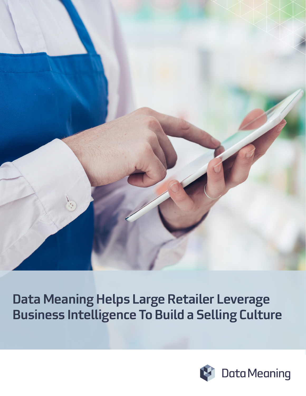

Data Meaning Helps Large Retailer Leverage Business Intelligence To Build a Selling Culture

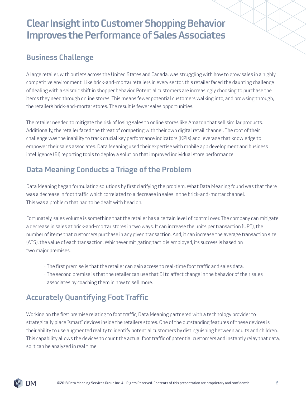### Business Challenge

A large retailer, with outlets across the United States and Canada, was struggling with how to grow sales in a highly competitive environment. Like brick-and-mortar retailers in every sector, this retailer faced the daunting challenge of dealing with a seismic shift in shopper behavior. Potential customers are increasingly choosing to purchase the items they need through online stores. This means fewer potential customers walking into, and browsing through, the retailer's brick-and-mortar stores. The result is fewer sales opportunities.

The retailer needed to mitigate the risk of losing sales to online stores like Amazon that sell similar products. Additionally, the retailer faced the threat of competing with their own digital retail channel. The root of their challenge was the inability to track crucial key performance indicators (KPIs) and leverage that knowledge to empower their sales associates. Data Meaning used their expertise with mobile app development and business intelligence (BI) reporting tools to deploy a solution that improved individual store performance.

### Data Meaning Conducts a Triage of the Problem

Data Meaning began formulating solutions by first clarifying the problem. What Data Meaning found was that there was a decrease in foot traffic which correlated to a decrease in sales in the brick-and-mortar channel. This was a problem that had to be dealt with head on.

Fortunately, sales volume is something that the retailer has a certain level of control over. The company can mitigate a decrease in sales at brick-and-mortar stores in two ways. It can increase the units per transaction (UPT), the number of items that customers purchase in any given transaction. And, it can increase the average transaction size (ATS), the value of each transaction. Whichever mitigating tactic is employed, its success is based on two major premises:

- The first premise is that the retailer can gain access to real-time foot traffic and sales data.
- The second premise is that the retailer can use that BI to affect change in the behavior of their sales associates by coaching them in how to sell more.

### Accurately Quantifying Foot Traffic

Working on the first premise relating to foot traffic, Data Meaning partnered with a technology provider to strategically place "smart" devices inside the retailer's stores. One of the outstanding features of these devices is their ability to use augmented reality to identify potential customers by distinguishing between adults and children. This capability allows the devices to count the actual foot traffic of potential customers and instantly relay that data, so it can be analyzed in real time.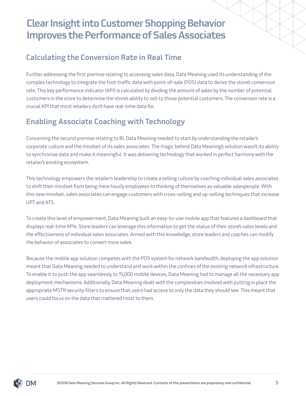#### Calculating the Conversion Rate in Real Time

Further addressing the first premise relating to accessing sales data, Data Meaning used its understanding of the complex technology to integrate the foot-traffic data with point-of-sale (POS) data to derive the store's conversion rate. This key performance indicator (KPI) is calculated by dividing the amount of sales by the number of potential customers in the store to determine the store's ability to sell to those potential customers. The conversion rate is a crucial KPI that most retailers don't have real-time data for.

### Enabling Associate Coaching with Technology

Concerning the second premise relating to BI, Data Meaning needed to start by understanding the retailer's corporate culture and the mindset of its sales associates. The magic behind Data Meaning's solution wasn't its ability to synchronize data and make it meaningful. It was delivering technology that worked in perfect harmony with the retailer's existing ecosystem.

This technology empowers the retailer's leadership to create a selling culture by coaching individual sales associates to shift their mindset from being mere hourly employees to thinking of themselves as valuable salespeople. With this new mindset, sales associates can engage customers with cross-selling and up-selling techniques that increase UPT and ATS.

To create this level of empowerment, Data Meaning built an easy-to-use mobile app that features a dashboard that displays real-time KPIs. Store leaders can leverage this information to get the status of their store's sales levels and the effectiveness of individual sales associates. Armed with this knowledge, store leaders and coaches can modify the behavior of associates to convert more sales.

Because the mobile app solution competes with the POS system for network bandwidth, deploying the app solution meant that Data Meaning needed to understand and work within the confines of the existing network infrastructure. To enable it to push the app seamlessly to 15,000 mobile devices, Data Meaning had to manage all the necessary app deployment mechanisms. Additionally, Data Meaning dealt with the complexities involved with putting in place the appropriate MSTR security filters to ensure that users had access to only the data they should see. This meant that users could focus on the data that mattered most to them.

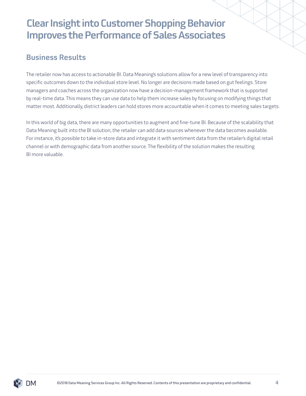#### Business Results

The retailer now has access to actionable BI. Data Meaning's solutions allow for a new level of transparency into specific outcomes down to the individual store level. No longer are decisions made based on gut feelings. Store managers and coaches across the organization now have a decision-management framework that is supported by real-time data. This means they can use data to help them increase sales by focusing on modifying things that matter most. Additionally, district leaders can hold stores more accountable when it comes to meeting sales targets.

In this world of big data, there are many opportunities to augment and fine-tune BI. Because of the scalability that Data Meaning built into the BI solution, the retailer can add data sources whenever the data becomes available. For instance, it's possible to take in-store data and integrate it with sentiment data from the retailer's digital retail channel or with demographic data from another source. The flexibility of the solution makes the resulting BI more valuable.